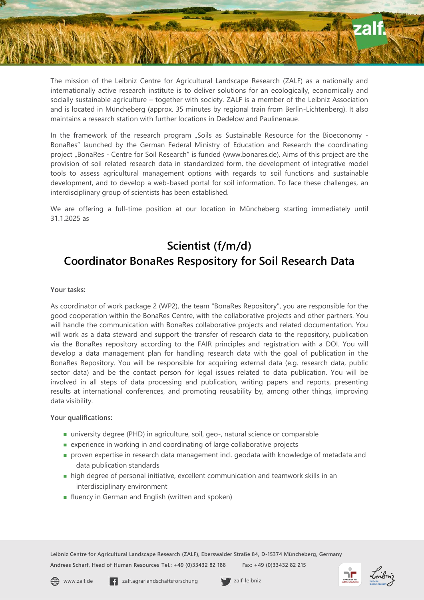The mission of the Leibniz Centre for Agricultural Landscape Research (ZALF) as a nationally and internationally active research institute is to deliver solutions for an ecologically, economically and socially sustainable agriculture – together with society. ZALF is a member of the Leibniz Association and is located in Müncheberg (approx. 35 minutes by regional train from Berlin-Lichtenberg). It also maintains a research station with further locations in Dedelow and Paulinenaue.

In the framework of the research program "Soils as Sustainable Resource for the Bioeconomy -BonaRes" launched by the German Federal Ministry of Education and Research the coordinating project "BonaRes - Centre for Soil Research" is funded (www.bonares.de). Aims of this project are the provision of soil related research data in standardized form, the development of integrative model tools to assess agricultural management options with regards to soil functions and sustainable development, and to develop a web-based portal for soil information. To face these challenges, an interdisciplinary group of scientists has been established.

We are offering a full-time position at our location in Müncheberg starting immediately until 31.1.2025 as

## **Scientist (f/m/d) Coordinator BonaRes Respository for Soil Research Data**

## **Your tasks:**

As coordinator of work package 2 (WP2), the team "BonaRes Repository", you are responsible for the good cooperation within the BonaRes Centre, with the collaborative projects and other partners. You will handle the communication with BonaRes collaborative projects and related documentation. You will work as a data steward and support the transfer of research data to the repository, publication via the BonaRes repository according to the FAIR principles and registration with a DOI. You will develop a data management plan for handling research data with the goal of publication in the BonaRes Repository. You will be responsible for acquiring external data (e.g. research data, public sector data) and be the contact person for legal issues related to data publication. You will be involved in all steps of data processing and publication, writing papers and reports, presenting results at international conferences, and promoting reusability by, among other things, improving data visibility.

## **Your qualifications:**

- university degree (PHD) in agriculture, soil, geo-, natural science or comparable
- experience in working in and coordinating of large collaborative projects
- proven expertise in research data management incl. geodata with knowledge of metadata and data publication standards
- high degree of personal initiative, excellent communication and teamwork skills in an interdisciplinary environment
- **fluency in German and English (written and spoken)**

**Leibniz Centre for Agricultural Landscape Research (ZALF), Eberswalder Straße 84, D-15374 Müncheberg, Germany Andreas Scharf, Head of Human Resources Tel.: +49 (0)33432 82 188 Fax: +49 (0)33432 82 215**